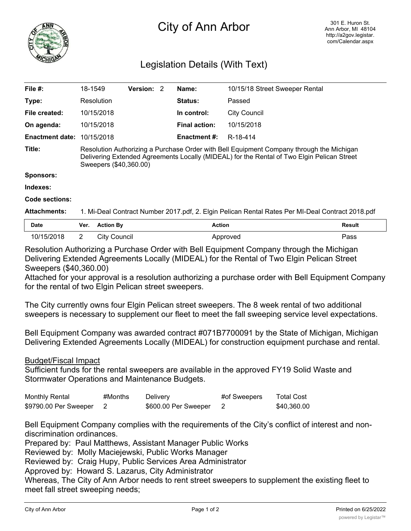

## City of Ann Arbor

## Legislation Details (With Text)

| File #:                           | 18-1549                                                                                                                                                                                                          | <b>Version: 2</b> |  | Name:                | 10/15/18 Street Sweeper Rental |  |
|-----------------------------------|------------------------------------------------------------------------------------------------------------------------------------------------------------------------------------------------------------------|-------------------|--|----------------------|--------------------------------|--|
| Type:                             | Resolution                                                                                                                                                                                                       |                   |  | <b>Status:</b>       | Passed                         |  |
| File created:                     | 10/15/2018                                                                                                                                                                                                       |                   |  | In control:          | <b>City Council</b>            |  |
| On agenda:                        | 10/15/2018                                                                                                                                                                                                       |                   |  | <b>Final action:</b> | 10/15/2018                     |  |
| <b>Enactment date: 10/15/2018</b> |                                                                                                                                                                                                                  |                   |  | Enactment #:         | R-18-414                       |  |
| Title:                            | Resolution Authorizing a Purchase Order with Bell Equipment Company through the Michigan<br>Delivering Extended Agreements Locally (MIDEAL) for the Rental of Two Elgin Pelican Street<br>Sweepers (\$40,360.00) |                   |  |                      |                                |  |
| <b>Sponsors:</b>                  |                                                                                                                                                                                                                  |                   |  |                      |                                |  |
| Indexes:                          |                                                                                                                                                                                                                  |                   |  |                      |                                |  |
| Code sections:                    |                                                                                                                                                                                                                  |                   |  |                      |                                |  |
| <b>Attachments:</b>               | 1. Mi-Deal Contract Number 2017.pdf, 2. Elgin Pelican Rental Rates Per MI-Deal Contract 2018.pdf                                                                                                                 |                   |  |                      |                                |  |

| Date       | Ver. | <b>Action By</b>  | Action   | <b>Result</b> |
|------------|------|-------------------|----------|---------------|
| 10/15/2018 | -    | City (<br>Council | Approved | Pass          |

Resolution Authorizing a Purchase Order with Bell Equipment Company through the Michigan Delivering Extended Agreements Locally (MIDEAL) for the Rental of Two Elgin Pelican Street Sweepers (\$40,360.00)

Attached for your approval is a resolution authorizing a purchase order with Bell Equipment Company for the rental of two Elgin Pelican street sweepers.

The City currently owns four Elgin Pelican street sweepers. The 8 week rental of two additional sweepers is necessary to supplement our fleet to meet the fall sweeping service level expectations.

Bell Equipment Company was awarded contract #071B7700091 by the State of Michigan, Michigan Delivering Extended Agreements Locally (MIDEAL) for construction equipment purchase and rental.

## Budget/Fiscal Impact

Sufficient funds for the rental sweepers are available in the approved FY19 Solid Waste and Stormwater Operations and Maintenance Budgets.

| <b>Monthly Rental</b> | #Months | Delivery             | #of Sweepers | <b>Total Cost</b> |
|-----------------------|---------|----------------------|--------------|-------------------|
| \$9790.00 Per Sweeper |         | \$600.00 Per Sweeper |              | \$40,360.00       |

Bell Equipment Company complies with the requirements of the City's conflict of interest and nondiscrimination ordinances.

Prepared by: Paul Matthews, Assistant Manager Public Works

Reviewed by: Molly Maciejewski, Public Works Manager

Reviewed by: Craig Hupy, Public Services Area Administrator

Approved by: Howard S. Lazarus, City Administrator

Whereas, The City of Ann Arbor needs to rent street sweepers to supplement the existing fleet to meet fall street sweeping needs;